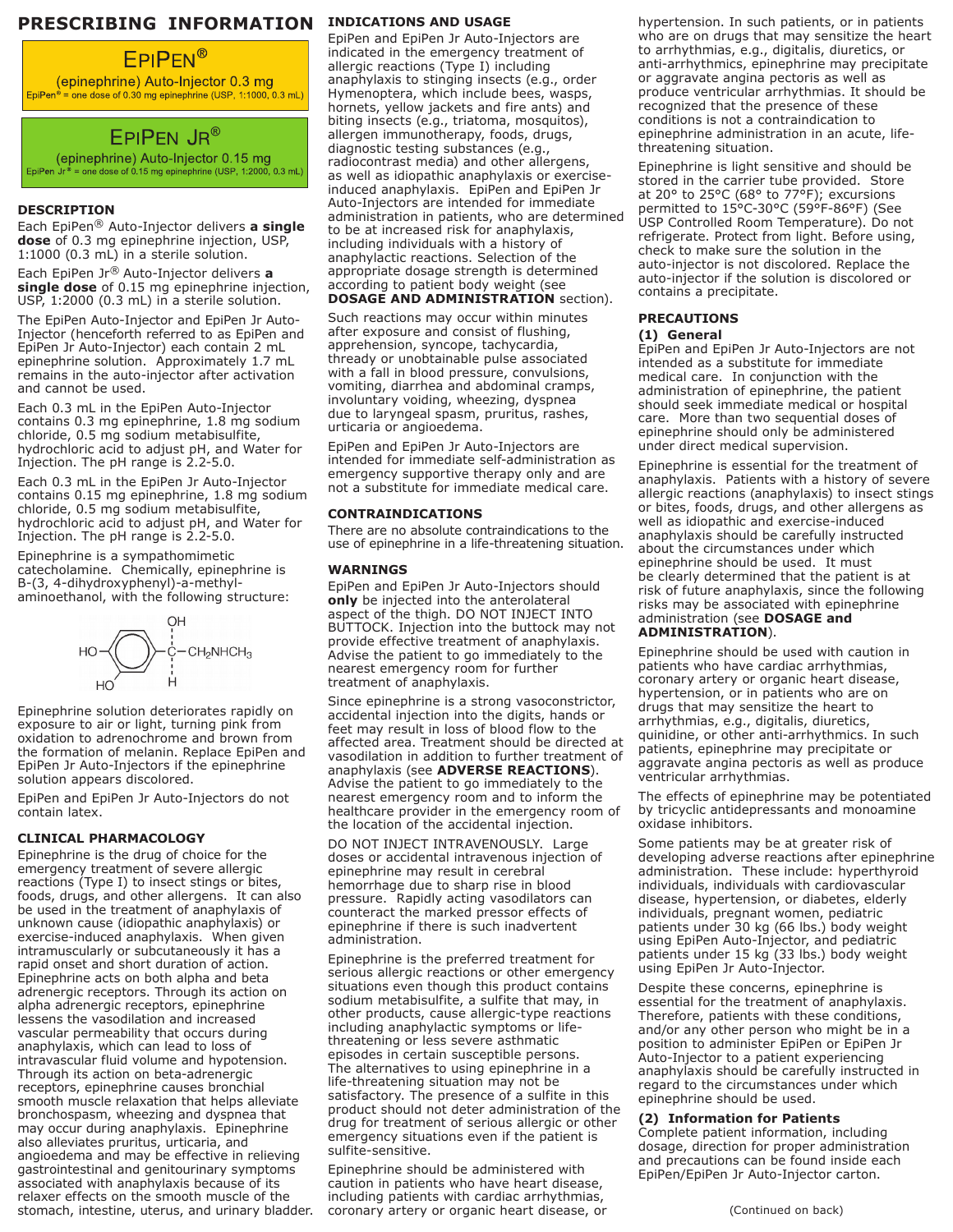### **PRESCRIBING INFORMATION** INDICATIONS AND USAGE

## **EPIPEN®**

(epinephrine) Auto-Injector 0.3 mg<br>EpiPen® = one dose of 0.30 mg epinephrine (USP, 1:1000, 0.3 mL)

# EPIPEN JR®

(epinephrine) Auto-Injector 0.15 mg EpiPen  $Jr^*$  = one dose of 0.15 mg epinephrine (USP, 1:2000, 0.3 mL)

#### **DESCRIPTION**

Each EpiPen® Auto-Injector delivers **a single dose** of 0.3 mg epinephrine injection, USP, 1:1000 (0.3 mL) in a sterile solution.

Each EpiPen Jr® Auto-Injector delivers **a single dose** of 0.15 mg epinephrine injection, USP, 1:2000 (0.3 mL) in a sterile solution.

The EpiPen Auto-Injector and EpiPen Jr Auto-Injector (henceforth referred to as EpiPen and EpiPen Jr Auto-Injector) each contain 2 mL epinephrine solution. Approximately 1.7 mL remains in the auto-injector after activation and cannot be used.

Each 0.3 mL in the EpiPen Auto-Injector contains 0.3 mg epinephrine, 1.8 mg sodium chloride, 0.5 mg sodium metabisulfite, hydrochloric acid to adjust pH, and Water for Injection. The pH range is 2.2-5.0.

Each 0.3 mL in the EpiPen Jr Auto-Injector contains 0.15 mg epinephrine, 1.8 mg sodium chloride, 0.5 mg sodium metabisulfite, hydrochloric acid to adjust pH, and Water for Injection. The pH range is 2.2-5.0.

Epinephrine is a sympathomimetic catecholamine. Chemically, epinephrine is B-(3, 4-dihydroxyphenyl)-a-methylaminoethanol, with the following structure:



Epinephrine solution deteriorates rapidly on exposure to air or light, turning pink from oxidation to adrenochrome and brown from the formation of melanin. Replace EpiPen and EpiPen Jr Auto-Injectors if the epinephrine solution appears discolored.

EpiPen and EpiPen Jr Auto-Injectors do not contain latex.

#### **CLINICAL PHARMACOLOGY**

Epinephrine is the drug of choice for the emergency treatment of severe allergic reactions (Type I) to insect stings or bites, foods, drugs, and other allergens. It can also be used in the treatment of anaphylaxis of unknown cause (idiopathic anaphylaxis) or exercise-induced anaphylaxis. When given intramuscularly or subcutaneously it has a rapid onset and short duration of action. Epinephrine acts on both alpha and beta adrenergic receptors. Through its action on alpha adrenergic receptors, epinephrine lessens the vasodilation and increased vascular permeability that occurs during anaphylaxis, which can lead to loss of intravascular fluid volume and hypotension. Through its action on beta-adrenergic receptors, epinephrine causes bronchial smooth muscle relaxation that helps alleviate bronchospasm, wheezing and dyspnea that may occur during anaphylaxis. Epinephrine also alleviates pruritus, urticaria, and angioedema and may be effective in relieving gastrointestinal and genitourinary symptoms associated with anaphylaxis because of its relaxer effects on the smooth muscle of the stomach, intestine, uterus, and urinary bladder.

EpiPen and EpiPen Jr Auto-Injectors are indicated in the emergency treatment of allergic reactions (Type I) including anaphylaxis to stinging insects (e.g., order Hymenoptera, which include bees, wasps, hornets, yellow jackets and fire ants) and biting insects (e.g., triatoma, mosquitos), allergen immunotherapy, foods, drugs, diagnostic testing substances (e.g., radiocontrast media) and other allergens, as well as idiopathic anaphylaxis or exerciseinduced anaphylaxis. EpiPen and EpiPen Jr Auto-Injectors are intended for immediate administration in patients, who are determined to be at increased risk for anaphylaxis, including individuals with a history of anaphylactic reactions. Selection of the appropriate dosage strength is determined according to patient body weight (see **DOSAGE AND ADMINISTRATION** section).

Such reactions may occur within minutes after exposure and consist of flushing, apprehension, syncope, tachycardia, thready or unobtainable pulse associated with a fall in blood pressure, convulsions, vomiting, diarrhea and abdominal cramps, involuntary voiding, wheezing, dyspnea due to laryngeal spasm, pruritus, rashes, urticaria or angioedema.

EpiPen and EpiPen Jr Auto-Injectors are intended for immediate self-administration as emergency supportive therapy only and are not a substitute for immediate medical care.

#### **CONTRAINDICATIONS**

There are no absolute contraindications to the use of epinephrine in a life-threatening situation.

#### **WARNINGS**

EpiPen and EpiPen Jr Auto-Injectors should **only** be injected into the anterolateral aspect of the thigh. DO NOT INJECT INTO BUTTOCK. Injection into the buttock may not provide effective treatment of anaphylaxis. Advise the patient to go immediately to the nearest emergency room for further treatment of anaphylaxis.

Since epinephrine is a strong vasoconstrictor, accidental injection into the digits, hands or feet may result in loss of blood flow to the affected area. Treatment should be directed at vasodilation in addition to further treatment of anaphylaxis (see **ADVERSE REACTIONS**). Advise the patient to go immediately to the nearest emergency room and to inform the healthcare provider in the emergency room of the location of the accidental injection.

DO NOT INJECT INTRAVENOUSLY. Large doses or accidental intravenous injection of epinephrine may result in cerebral hemorrhage due to sharp rise in blood pressure. Rapidly acting vasodilators can counteract the marked pressor effects of epinephrine if there is such inadvertent administration.

Epinephrine is the preferred treatment for serious allergic reactions or other emergency situations even though this product contains sodium metabisulfite, a sulfite that may, in other products, cause allergic-type reactions including anaphylactic symptoms or lifethreatening or less severe asthmatic episodes in certain susceptible persons. The alternatives to using epinephrine in a life-threatening situation may not be satisfactory. The presence of a sulfite in this product should not deter administration of the drug for treatment of serious allergic or other emergency situations even if the patient is sulfite-sensitive.

Epinephrine should be administered with caution in patients who have heart disease, including patients with cardiac arrhythmias, coronary artery or organic heart disease, or hypertension. In such patients, or in patients who are on drugs that may sensitize the heart to arrhythmias, e.g., digitalis, diuretics, or anti-arrhythmics, epinephrine may precipitate or aggravate angina pectoris as well as produce ventricular arrhythmias. It should be recognized that the presence of these conditions is not a contraindication to epinephrine administration in an acute, lifethreatening situation.

Epinephrine is light sensitive and should be stored in the carrier tube provided. Store at 20 $\degree$  to 25 $\degree$ C (68 $\degree$  to 77 $\degree$ F); excursions permitted to 15°C-30°C (59°F-86°F) (See USP Controlled Room Temperature). Do not refrigerate. Protect from light. Before using, check to make sure the solution in the auto-injector is not discolored. Replace the auto-injector if the solution is discolored or contains a precipitate.

#### **PRECAUTIONS**

#### **(1) General**

EpiPen and EpiPen Jr Auto-Injectors are not intended as a substitute for immediate medical care. In conjunction with the administration of epinephrine, the patient should seek immediate medical or hospital care. More than two sequential doses of epinephrine should only be administered under direct medical supervision.

Epinephrine is essential for the treatment of anaphylaxis. Patients with a history of severe allergic reactions (anaphylaxis) to insect stings or bites, foods, drugs, and other allergens as well as idiopathic and exercise-induced anaphylaxis should be carefully instructed about the circumstances under which epinephrine should be used. It must be clearly determined that the patient is at risk of future anaphylaxis, since the following risks may be associated with epinephrine administration (see **DOSAGE and ADMINISTRATION**).

Epinephrine should be used with caution in patients who have cardiac arrhythmias, coronary artery or organic heart disease, hypertension, or in patients who are on drugs that may sensitize the heart to arrhythmias, e.g., digitalis, diuretics, quinidine, or other anti-arrhythmics. In such patients, epinephrine may precipitate or aggravate angina pectoris as well as produce ventricular arrhythmias.

The effects of epinephrine may be potentiated by tricyclic antidepressants and monoamine oxidase inhibitors.

Some patients may be at greater risk of developing adverse reactions after epinephrine administration. These include: hyperthyroid individuals, individuals with cardiovascular disease, hypertension, or diabetes, elderly individuals, pregnant women, pediatric patients under 30 kg (66 lbs.) body weight using EpiPen Auto-Injector, and pediatric patients under 15 kg (33 lbs.) body weight using EpiPen Jr Auto-Injector.

Despite these concerns, epinephrine is essential for the treatment of anaphylaxis. Therefore, patients with these conditions, and/or any other person who might be in a position to administer EpiPen or EpiPen Jr Auto-Injector to a patient experiencing anaphylaxis should be carefully instructed in regard to the circumstances under which epinephrine should be used.

#### **(2) Information for Patients**

Complete patient information, including dosage, direction for proper administration and precautions can be found inside each EpiPen/EpiPen Jr Auto-Injector carton.